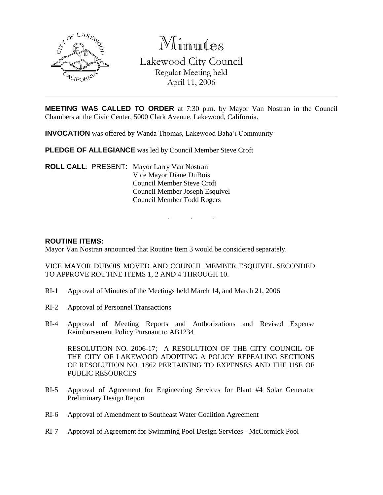

Minutes Lakewood City Council Regular Meeting held April 11, 2006

**MEETING WAS CALLED TO ORDER** at 7:30 p.m. by Mayor Van Nostran in the Council Chambers at the Civic Center, 5000 Clark Avenue, Lakewood, California.

. . .

**INVOCATION** was offered by Wanda Thomas, Lakewood Baha'i Community

**PLEDGE OF ALLEGIANCE** was led by Council Member Steve Croft

**ROLL CALL**: PRESENT: Mayor Larry Van Nostran Vice Mayor Diane DuBois Council Member Steve Croft Council Member Joseph Esquivel Council Member Todd Rogers

#### **ROUTINE ITEMS:**

Mayor Van Nostran announced that Routine Item 3 would be considered separately.

VICE MAYOR DUBOIS MOVED AND COUNCIL MEMBER ESQUIVEL SECONDED TO APPROVE ROUTINE ITEMS 1, 2 AND 4 THROUGH 10.

- RI-1 Approval of Minutes of the Meetings held March 14, and March 21, 2006
- RI-2 Approval of Personnel Transactions
- RI-4 Approval of Meeting Reports and Authorizations and Revised Expense Reimbursement Policy Pursuant to AB1234

RESOLUTION NO. 2006-17; A RESOLUTION OF THE CITY COUNCIL OF THE CITY OF LAKEWOOD ADOPTING A POLICY REPEALING SECTIONS OF RESOLUTION NO. 1862 PERTAINING TO EXPENSES AND THE USE OF PUBLIC RESOURCES

- RI-5 Approval of Agreement for Engineering Services for Plant #4 Solar Generator Preliminary Design Report
- RI-6 Approval of Amendment to Southeast Water Coalition Agreement
- RI-7 Approval of Agreement for Swimming Pool Design Services McCormick Pool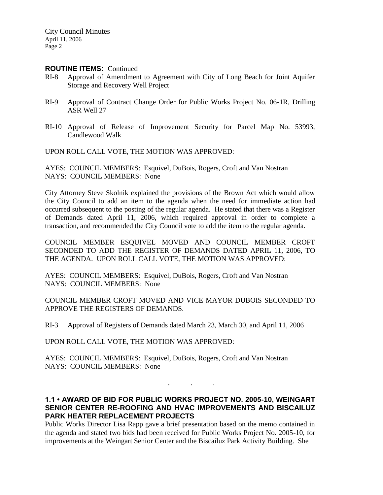#### **ROUTINE ITEMS:** Continued

- RI-8 Approval of Amendment to Agreement with City of Long Beach for Joint Aquifer Storage and Recovery Well Project
- RI-9 Approval of Contract Change Order for Public Works Project No. 06-1R, Drilling ASR Well 27
- RI-10 Approval of Release of Improvement Security for Parcel Map No. 53993, Candlewood Walk

UPON ROLL CALL VOTE, THE MOTION WAS APPROVED:

AYES: COUNCIL MEMBERS: Esquivel, DuBois, Rogers, Croft and Van Nostran NAYS: COUNCIL MEMBERS: None

City Attorney Steve Skolnik explained the provisions of the Brown Act which would allow the City Council to add an item to the agenda when the need for immediate action had occurred subsequent to the posting of the regular agenda. He stated that there was a Register of Demands dated April 11, 2006, which required approval in order to complete a transaction, and recommended the City Council vote to add the item to the regular agenda.

COUNCIL MEMBER ESQUIVEL MOVED AND COUNCIL MEMBER CROFT SECONDED TO ADD THE REGISTER OF DEMANDS DATED APRIL 11, 2006, TO THE AGENDA. UPON ROLL CALL VOTE, THE MOTION WAS APPROVED:

AYES: COUNCIL MEMBERS: Esquivel, DuBois, Rogers, Croft and Van Nostran NAYS: COUNCIL MEMBERS: None

COUNCIL MEMBER CROFT MOVED AND VICE MAYOR DUBOIS SECONDED TO APPROVE THE REGISTERS OF DEMANDS.

RI-3 Approval of Registers of Demands dated March 23, March 30, and April 11, 2006

UPON ROLL CALL VOTE, THE MOTION WAS APPROVED:

AYES: COUNCIL MEMBERS: Esquivel, DuBois, Rogers, Croft and Van Nostran NAYS: COUNCIL MEMBERS: None

# **1.1 • AWARD OF BID FOR PUBLIC WORKS PROJECT NO. 2005-10, WEINGART SENIOR CENTER RE-ROOFING AND HVAC IMPROVEMENTS AND BISCAILUZ PARK HEATER REPLACEMENT PROJECTS**

. . .

Public Works Director Lisa Rapp gave a brief presentation based on the memo contained in the agenda and stated two bids had been received for Public Works Project No. 2005-10, for improvements at the Weingart Senior Center and the Biscailuz Park Activity Building. She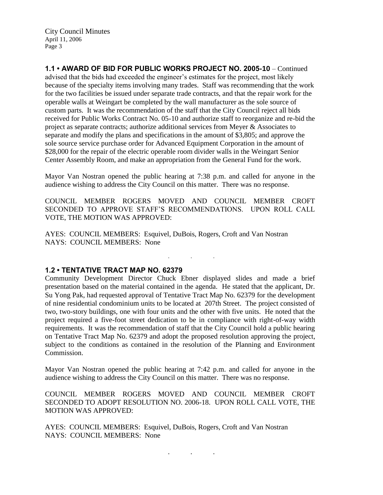**1.1 • AWARD OF BID FOR PUBLIC WORKS PROJECT NO. 2005-10** – Continued advised that the bids had exceeded the engineer's estimates for the project, most likely because of the specialty items involving many trades. Staff was recommending that the work for the two facilities be issued under separate trade contracts, and that the repair work for the operable walls at Weingart be completed by the wall manufacturer as the sole source of custom parts. It was the recommendation of the staff that the City Council reject all bids received for Public Works Contract No. 05-10 and authorize staff to reorganize and re-bid the project as separate contracts; authorize additional services from Meyer & Associates to separate and modify the plans and specifications in the amount of \$3,805; and approve the sole source service purchase order for Advanced Equipment Corporation in the amount of \$28,000 for the repair of the electric operable room divider walls in the Weingart Senior Center Assembly Room, and make an appropriation from the General Fund for the work.

Mayor Van Nostran opened the public hearing at 7:38 p.m. and called for anyone in the audience wishing to address the City Council on this matter. There was no response.

COUNCIL MEMBER ROGERS MOVED AND COUNCIL MEMBER CROFT SECONDED TO APPROVE STAFF'S RECOMMENDATIONS. UPON ROLL CALL VOTE, THE MOTION WAS APPROVED:

. . .

AYES: COUNCIL MEMBERS: Esquivel, DuBois, Rogers, Croft and Van Nostran NAYS: COUNCIL MEMBERS: None

#### **1.2 • TENTATIVE TRACT MAP NO. 62379**

Community Development Director Chuck Ebner displayed slides and made a brief presentation based on the material contained in the agenda. He stated that the applicant, Dr. Su Yong Pak, had requested approval of Tentative Tract Map No. 62379 for the development of nine residential condominium units to be located at 207th Street. The project consisted of two, two-story buildings, one with four units and the other with five units. He noted that the project required a five-foot street dedication to be in compliance with right-of-way width requirements. It was the recommendation of staff that the City Council hold a public hearing on Tentative Tract Map No. 62379 and adopt the proposed resolution approving the project, subject to the conditions as contained in the resolution of the Planning and Environment Commission.

Mayor Van Nostran opened the public hearing at 7:42 p.m. and called for anyone in the audience wishing to address the City Council on this matter. There was no response.

COUNCIL MEMBER ROGERS MOVED AND COUNCIL MEMBER CROFT SECONDED TO ADOPT RESOLUTION NO. 2006-18. UPON ROLL CALL VOTE, THE MOTION WAS APPROVED:

AYES: COUNCIL MEMBERS: Esquivel, DuBois, Rogers, Croft and Van Nostran NAYS: COUNCIL MEMBERS: None

. . .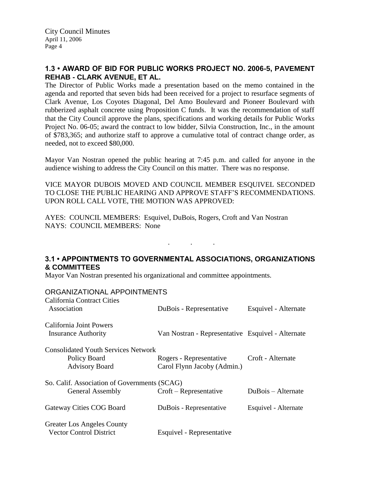# **1.3 • AWARD OF BID FOR PUBLIC WORKS PROJECT NO. 2006-5, PAVEMENT REHAB - CLARK AVENUE, ET AL.**

The Director of Public Works made a presentation based on the memo contained in the agenda and reported that seven bids had been received for a project to resurface segments of Clark Avenue, Los Coyotes Diagonal, Del Amo Boulevard and Pioneer Boulevard with rubberized asphalt concrete using Proposition C funds. It was the recommendation of staff that the City Council approve the plans, specifications and working details for Public Works Project No. 06-05; award the contract to low bidder, Silvia Construction, Inc., in the amount of \$783,365; and authorize staff to approve a cumulative total of contract change order, as needed, not to exceed \$80,000.

Mayor Van Nostran opened the public hearing at 7:45 p.m. and called for anyone in the audience wishing to address the City Council on this matter. There was no response.

VICE MAYOR DUBOIS MOVED AND COUNCIL MEMBER ESQUIVEL SECONDED TO CLOSE THE PUBLIC HEARING AND APPROVE STAFF'S RECOMMENDATIONS. UPON ROLL CALL VOTE, THE MOTION WAS APPROVED:

AYES: COUNCIL MEMBERS: Esquivel, DuBois, Rogers, Croft and Van Nostran NAYS: COUNCIL MEMBERS: None

# **3.1 • APPOINTMENTS TO GOVERNMENTAL ASSOCIATIONS, ORGANIZATIONS & COMMITTEES**

. . .

Mayor Van Nostran presented his organizational and committee appointments.

### ORGANIZATIONAL APPOINTMENTS

| California Contract Cities<br>Association    | DuBois - Representative                           | Esquivel - Alternate |  |
|----------------------------------------------|---------------------------------------------------|----------------------|--|
| California Joint Powers                      |                                                   |                      |  |
| <b>Insurance Authority</b>                   | Van Nostran - Representative Esquivel - Alternate |                      |  |
| <b>Consolidated Youth Services Network</b>   |                                                   |                      |  |
| Policy Board                                 | Rogers - Representative                           | Croft - Alternate    |  |
| <b>Advisory Board</b>                        | Carol Flynn Jacoby (Admin.)                       |                      |  |
| So. Calif. Association of Governments (SCAG) |                                                   |                      |  |
| <b>General Assembly</b>                      | Croft – Representative                            | DuBois – Alternate   |  |
| Gateway Cities COG Board                     | DuBois - Representative                           | Esquivel - Alternate |  |
| <b>Greater Los Angeles County</b>            |                                                   |                      |  |
| <b>Vector Control District</b>               | Esquivel - Representative                         |                      |  |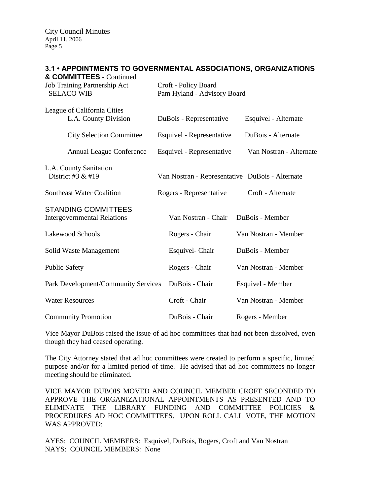### **3.1 • APPOINTMENTS TO GOVERNMENTAL ASSOCIATIONS, ORGANIZATIONS**

| & COMMITTEES - Continued<br>Job Training Partnership Act<br><b>SELACO WIB</b> | Croft - Policy Board<br>Pam Hyland - Advisory Board |                         |  |
|-------------------------------------------------------------------------------|-----------------------------------------------------|-------------------------|--|
| League of California Cities<br>L.A. County Division                           | DuBois - Representative                             | Esquivel - Alternate    |  |
| <b>City Selection Committee</b>                                               | Esquivel - Representative                           | DuBois - Alternate      |  |
| <b>Annual League Conference</b>                                               | Esquivel - Representative                           | Van Nostran - Alternate |  |
| L.A. County Sanitation<br>District #3 $&$ #19                                 | Van Nostran - Representative DuBois - Alternate     |                         |  |
| <b>Southeast Water Coalition</b>                                              | Rogers - Representative                             | Croft - Alternate       |  |
| <b>STANDING COMMITTEES</b><br><b>Intergovernmental Relations</b>              | Van Nostran - Chair                                 | DuBois - Member         |  |
| Lakewood Schools                                                              | Rogers - Chair                                      | Van Nostran - Member    |  |
| Solid Waste Management                                                        | Esquivel- Chair                                     | DuBois - Member         |  |
| <b>Public Safety</b>                                                          | Rogers - Chair                                      | Van Nostran - Member    |  |
| Park Development/Community Services                                           | DuBois - Chair                                      | Esquivel - Member       |  |
| <b>Water Resources</b>                                                        | Croft - Chair                                       | Van Nostran - Member    |  |
| <b>Community Promotion</b>                                                    | DuBois - Chair                                      | Rogers - Member         |  |

Vice Mayor DuBois raised the issue of ad hoc committees that had not been dissolved, even though they had ceased operating.

The City Attorney stated that ad hoc committees were created to perform a specific, limited purpose and/or for a limited period of time. He advised that ad hoc committees no longer meeting should be eliminated.

VICE MAYOR DUBOIS MOVED AND COUNCIL MEMBER CROFT SECONDED TO APPROVE THE ORGANIZATIONAL APPOINTMENTS AS PRESENTED AND TO ELIMINATE THE LIBRARY FUNDING AND COMMITTEE POLICIES & PROCEDURES AD HOC COMMITTEES. UPON ROLL CALL VOTE, THE MOTION WAS APPROVED:

AYES: COUNCIL MEMBERS: Esquivel, DuBois, Rogers, Croft and Van Nostran NAYS: COUNCIL MEMBERS: None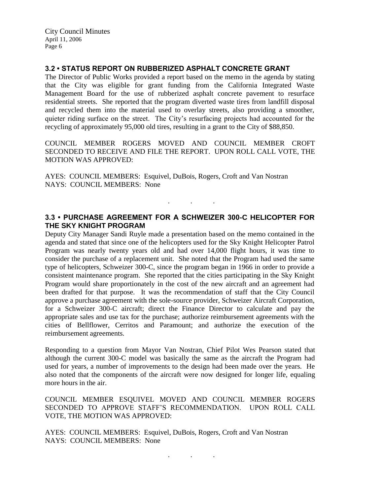# **3.2 • STATUS REPORT ON RUBBERIZED ASPHALT CONCRETE GRANT**

The Director of Public Works provided a report based on the memo in the agenda by stating that the City was eligible for grant funding from the California Integrated Waste Management Board for the use of rubberized asphalt concrete pavement to resurface residential streets. She reported that the program diverted waste tires from landfill disposal and recycled them into the material used to overlay streets, also providing a smoother, quieter riding surface on the street. The City's resurfacing projects had accounted for the recycling of approximately 95,000 old tires, resulting in a grant to the City of \$88,850.

COUNCIL MEMBER ROGERS MOVED AND COUNCIL MEMBER CROFT SECONDED TO RECEIVE AND FILE THE REPORT. UPON ROLL CALL VOTE, THE MOTION WAS APPROVED:

AYES: COUNCIL MEMBERS: Esquivel, DuBois, Rogers, Croft and Van Nostran NAYS: COUNCIL MEMBERS: None

# **3.3 • PURCHASE AGREEMENT FOR A SCHWEIZER 300-C HELICOPTER FOR THE SKY KNIGHT PROGRAM**

. . .

Deputy City Manager Sandi Ruyle made a presentation based on the memo contained in the agenda and stated that since one of the helicopters used for the Sky Knight Helicopter Patrol Program was nearly twenty years old and had over 14,000 flight hours, it was time to consider the purchase of a replacement unit. She noted that the Program had used the same type of helicopters, Schweizer 300-C, since the program began in 1966 in order to provide a consistent maintenance program. She reported that the cities participating in the Sky Knight Program would share proportionately in the cost of the new aircraft and an agreement had been drafted for that purpose. It was the recommendation of staff that the City Council approve a purchase agreement with the sole-source provider, Schweizer Aircraft Corporation, for a Schweizer 300-C aircraft; direct the Finance Director to calculate and pay the appropriate sales and use tax for the purchase; authorize reimbursement agreements with the cities of Bellflower, Cerritos and Paramount; and authorize the execution of the reimbursement agreements.

Responding to a question from Mayor Van Nostran, Chief Pilot Wes Pearson stated that although the current 300-C model was basically the same as the aircraft the Program had used for years, a number of improvements to the design had been made over the years. He also noted that the components of the aircraft were now designed for longer life, equaling more hours in the air.

COUNCIL MEMBER ESQUIVEL MOVED AND COUNCIL MEMBER ROGERS SECONDED TO APPROVE STAFF'S RECOMMENDATION. UPON ROLL CALL VOTE, THE MOTION WAS APPROVED:

AYES: COUNCIL MEMBERS: Esquivel, DuBois, Rogers, Croft and Van Nostran NAYS: COUNCIL MEMBERS: None

. . .